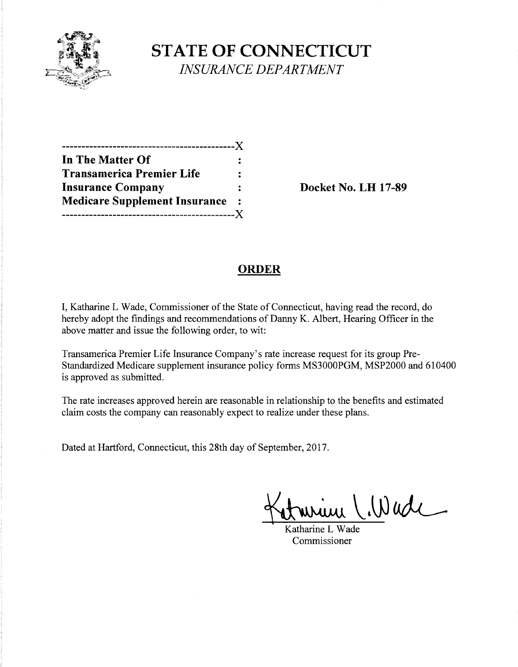

**STATE OF CONNECTICUT**  *INSURANCE DEPARTMENT* 

| In The Matter Of                     |                |
|--------------------------------------|----------------|
| <b>Transamerica Premier Life</b>     |                |
| <b>Insurance Company</b>             |                |
| <b>Medicare Supplement Insurance</b> | $\ddot{\cdot}$ |
|                                      |                |

**Insurance Company Docket** No. **LH 17-89** 

## **ORDER**

I, Katharine L Wade, Commissioner of the State of Connecticut, having read the record, do hereby adopt the findings and recommendations of Danny K. Albert, Hearing Officer in the above matter and issue the following order, to wit:

Transamerica Premier Life Insurance Company's rate increase request for its group Pre-Standardized Medicare supplement insurance policy forms MS3000PGM, MSP2000 and 610400 is approved as submitted.

The rate increases approved herein are reasonable in relationship to the benefits and estimated claim costs the company can reasonably expect to realize under these plans.

Dated at Hartford, Connecticut, this 28th day of September, 2017.

 $W$ wde

Katharine L Wade Commissioner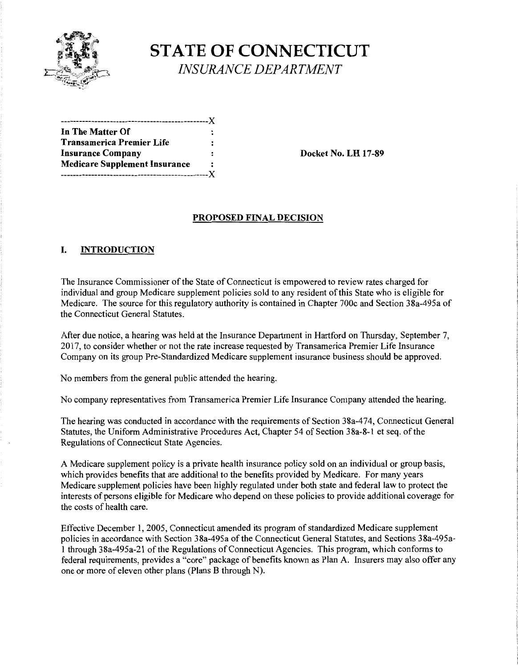

# **STATE OF CONNECTICUT**  *INSURANCE DEPARTMENT*

| In The Matter Of                     |    |
|--------------------------------------|----|
| Transamerica Premier Life            |    |
| <b>Insurance Company</b>             | 2  |
| <b>Medicare Supplement Insurance</b> |    |
|                                      | .x |

**Insurance Company Docket** No. **LH 17-89** 

#### **PROPOSED FINAL DECISION**

#### **I. INTRODUCTION**

The Insurance Commissioner of the State of Connecticut is empowered to review rates charged for individual and group Medicare supplement policies sold to any resident of this State who is eligible for Medicare. The source for this regulatory authority is contained in Chapter 700c and Section 38a-495a of the Connecticut General Statutes.

After due notice, a hearing was held at the Insurance Department in Hartford on Thursday, September 7, 2017, to consider whether or not the rate increase requested by Transamerica Premier Life Insurance Company on its group Pre-Standardized Medicare supplement insurance business should be approved.

No members from the general public attended the hearing.

No company representatives from Transamerica Premier Life Insurance Company attended the hearing.

The hearing was conducted in accordance with the requirements of Section 38a-474, Connecticut General Statutes, the Uniform Administrative Procedures Act, Chapter 54 of Section 38a-8-1 et seq. of the Regulations of Connecticut State Agencies.

A Medicare supplement policy is a private health insurance policy sold on an individual or group basis, which provides benefits that are additional to the benefits provided by Medicare. For many years Medicare supplement policies have been highly regulated under both state and federal law to protect the interests of persons eligible for Medicare who depend on these policies to provide additional coverage for the costs of health care.

Effective December 1, 2005, Connecticut amended its program of standardized Medicare supplement policies in accordance with Section 38a-495a of the Connecticut General Statutes, and Sections 38a-495a-1 through 38a-495a-21 of the Regulations of Connecticut Agencies. This program, which conforms to federal requirements, provides a "core" package of benefits known as Plan A. Insurers may also offer any one or more of eleven other plans (Plans B through N).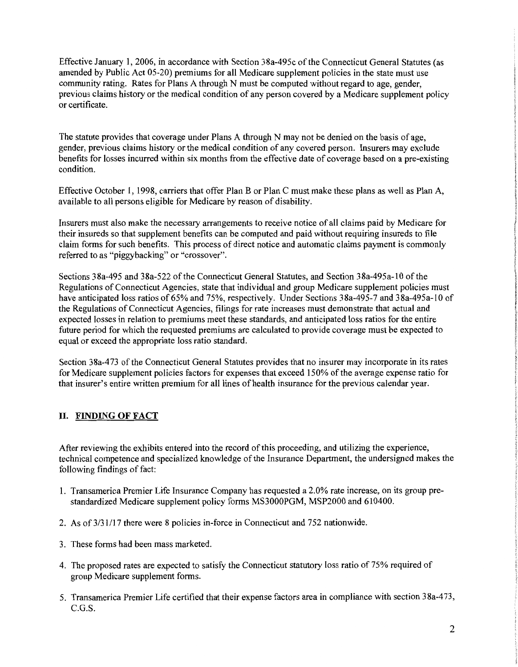Effective January 1, 2006, in accordance with Section 38a-495c of the Connecticut General Statutes (as amended by Public Act 05-20) premiums for all Medicare supplement policies in the state must use community rating. Rates for Plans A through N must be computed without regard to age, gender, previous claims history or the medical condition of any person covered by a Medicare supplement policy or certificate.

The statute provides that coverage under Plans A through N may not be denied on the basis of age, gender, previous claims history or the medical condition of any covered person. Insurers may exclude benefits for losses incurred within six months from the effective date of coverage based on a pre-existing condition.

Effective October 1, 1998, carriers that offer Plan B or Plan C must make these plans as well as Plan A, available to all persons eligible for Medicare by reason of disability.

Insurers must also make the necessary arrangements to receive notice of all claims paid by Medicare for their insureds so that supplement benefits can be computed and paid without requiring insureds to file claim forms for such benefits. This process of direct notice and automatic claims payment is commonly referred to as "piggybacking" or "crossover".

Sections 38a-495 and 38a-522 of the Connecticut General Statutes, and Section 38a-495a-10 of the Regulations of Connecticut Agencies, state that individual and group Medicare supplement policies must have anticipated loss ratios of 65% and 75%, respectively. Under Sections 38a-495-7 and 38a-495a-10 of the Regulations of Connecticut Agencies, filings for rate increases must demonstrate that actual and expected losses in relation to premiums meet these standards, and anticipated loss ratios for the entire future period for which the requested premiums are calculated to provide coverage must be expected to equal or exceed the appropriate loss ratio standard.

Section 38a-473 of the Connecticut General Statutes provides that no insurer may incorporate in its rates for Medicare supplement policies factors for expenses that exceed 150% of the average expense ratio for that insurer's entire written premium for all lines of health insurance for the previous calendar year.

#### II. FINDING **OF FACT**

After reviewing the exhibits entered into the record of this proceeding, and utilizing the experience, technical competence and specialized knowledge of the Insurance Department, the undersigned makes the following findings of fact:

- 1. Transamerica Premier Life Insurance Company has requested a 2.0% rate increase, on its group prestandardized Medicare supplement policy forms MS3000PGM, MSP2000 and 610400.
- 2. As of 3/31/17 there were 8 policies in-force in Connecticut and 752 nationwide.
- 3. These forms had been mass marketed.
- 4. The proposed rates are expected to satisfy the Connecticut statutory loss ratio of 75% required of group Medicare supplement forms.
- 5. Transamerica Premier Life certified that their expense factors area in compliance with section 38a-473, C.G.S.